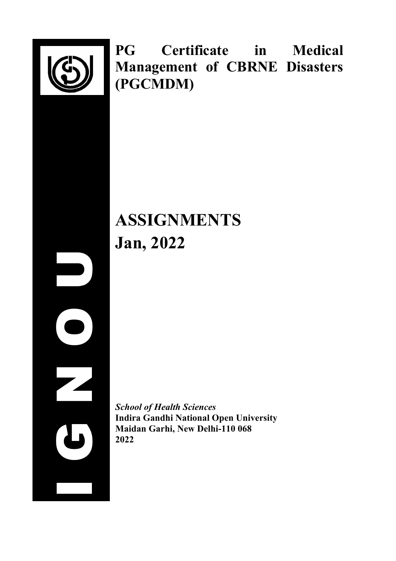

I G N O U

**PG Certificate in Medical Management of CBRNE Disasters (PGCMDM)**

# **ASSIGNMENTS Jan, 2022**

*School of Health Sciences* **Indira Gandhi National Open University Maidan Garhi, New Delhi-110 068 2022**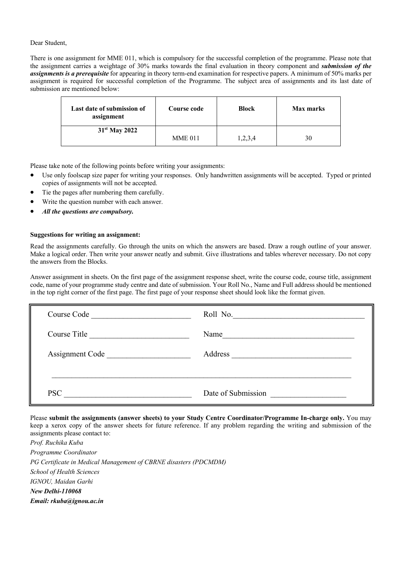#### Dear Student,

There is one assignment for MME 011, which is compulsory for the successful completion of the programme. Please note that the assignment carries a weightage of 30% marks towards the final evaluation in theory component and *submission of the assignments is a prerequisite* for appearing in theory term-end examination for respective papers. A minimum of 50% marks per assignment is required for successful completion of the Programme. The subject area of assignments and its last date of submission are mentioned below:

| Last date of submission of<br>assignment | Course code    | <b>Block</b> | <b>Max marks</b> |
|------------------------------------------|----------------|--------------|------------------|
| 31 <sup>st</sup> May 2022                | <b>MME 011</b> | 1,2,3,4      | 30               |

Please take note of the following points before writing your assignments:

- Use only foolscap size paper for writing your responses. Only handwritten assignments will be accepted. Typed or printed copies of assignments will not be accepted.
- Tie the pages after numbering them carefully.
- Write the question number with each answer.
- *All the questions are compulsory.*

#### **Suggestions for writing an assignment:**

Read the assignments carefully. Go through the units on which the answers are based. Draw a rough outline of your answer. Make a logical order. Then write your answer neatly and submit. Give illustrations and tables wherever necessary. Do not copy the answers from the Blocks.

Answer assignment in sheets. On the first page of the assignment response sheet, write the course code, course title, assignment code, name of your programme study centre and date of submission. Your Roll No., Name and Full address should be mentioned in the top right corner of the first page. The first page of your response sheet should look like the format given.

| Course Code     | Roll No.           |
|-----------------|--------------------|
| Course Title    | Name               |
| Assignment Code | Address            |
| <b>PSC</b>      | Date of Submission |

Please **submit the assignments (answer sheets) to your Study Centre Coordinator/Programme In-charge only.** You may keep a xerox copy of the answer sheets for future reference. If any problem regarding the writing and submission of the assignments please contact to:

*Prof. Ruchika Kuba Programme Coordinator PG Certificate in Medical Management of CBRNE disasters (PDCMDM) School of Health Sciences IGNOU, Maidan Garhi New Delhi-110068 Email: rkuba@ignou.ac.in*